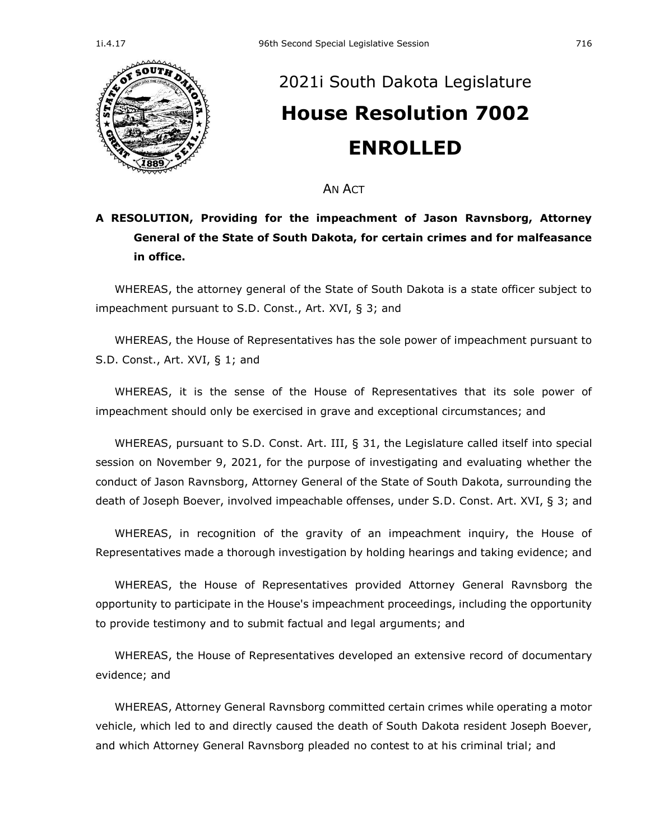

## [2021i South Dakota Legislature](https://sdlegislature.gov/Session/Bills/66) **[House Resolution 7002](https://sdlegislature.gov/Session/Bill/23552) ENROLLED**

AN ACT

## **A RESOLUTION, Providing for the impeachment of Jason Ravnsborg, Attorney General of the State of South Dakota, for certain crimes and for malfeasance in office.**

WHEREAS, the attorney general of the State of South Dakota is a state officer subject to impeachment pursuant to S.D. Const., Art. XVI, § 3; and

WHEREAS, the House of Representatives has the sole power of impeachment pursuant to S.D. Const., Art. XVI, § 1; and

WHEREAS, it is the sense of the House of Representatives that its sole power of impeachment should only be exercised in grave and exceptional circumstances; and

WHEREAS, pursuant to S.D. Const. Art. III, § 31, the Legislature called itself into special session on November 9, 2021, for the purpose of investigating and evaluating whether the conduct of Jason Ravnsborg, Attorney General of the State of South Dakota, surrounding the death of Joseph Boever, involved impeachable offenses, under S.D. Const. Art. XVI, § 3; and

WHEREAS, in recognition of the gravity of an impeachment inquiry, the House of Representatives made a thorough investigation by holding hearings and taking evidence; and

WHEREAS, the House of Representatives provided Attorney General Ravnsborg the opportunity to participate in the House's impeachment proceedings, including the opportunity to provide testimony and to submit factual and legal arguments; and

WHEREAS, the House of Representatives developed an extensive record of documentary evidence; and

WHEREAS, Attorney General Ravnsborg committed certain crimes while operating a motor vehicle, which led to and directly caused the death of South Dakota resident Joseph Boever, and which Attorney General Ravnsborg pleaded no contest to at his criminal trial; and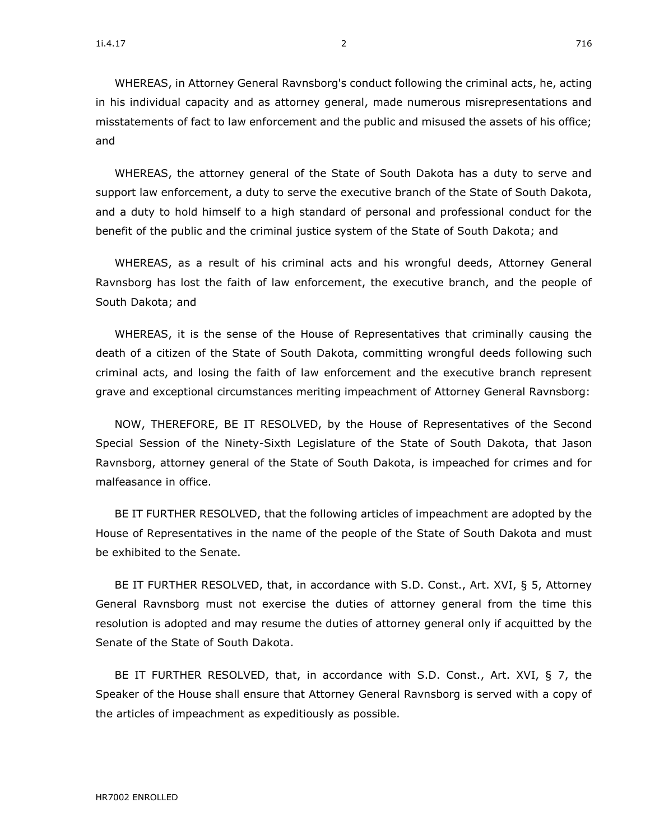WHEREAS, in Attorney General Ravnsborg's conduct following the criminal acts, he, acting in his individual capacity and as attorney general, made numerous misrepresentations and misstatements of fact to law enforcement and the public and misused the assets of his office; and

WHEREAS, the attorney general of the State of South Dakota has a duty to serve and support law enforcement, a duty to serve the executive branch of the State of South Dakota, and a duty to hold himself to a high standard of personal and professional conduct for the benefit of the public and the criminal justice system of the State of South Dakota; and

WHEREAS, as a result of his criminal acts and his wrongful deeds, Attorney General Ravnsborg has lost the faith of law enforcement, the executive branch, and the people of South Dakota; and

WHEREAS, it is the sense of the House of Representatives that criminally causing the death of a citizen of the State of South Dakota, committing wrongful deeds following such criminal acts, and losing the faith of law enforcement and the executive branch represent grave and exceptional circumstances meriting impeachment of Attorney General Ravnsborg:

NOW, THEREFORE, BE IT RESOLVED, by the House of Representatives of the Second Special Session of the Ninety-Sixth Legislature of the State of South Dakota, that Jason Ravnsborg, attorney general of the State of South Dakota, is impeached for crimes and for malfeasance in office.

BE IT FURTHER RESOLVED, that the following articles of impeachment are adopted by the House of Representatives in the name of the people of the State of South Dakota and must be exhibited to the Senate.

BE IT FURTHER RESOLVED, that, in accordance with S.D. Const., Art. XVI, § 5, Attorney General Ravnsborg must not exercise the duties of attorney general from the time this resolution is adopted and may resume the duties of attorney general only if acquitted by the Senate of the State of South Dakota.

BE IT FURTHER RESOLVED, that, in accordance with S.D. Const., Art. XVI, § 7, the Speaker of the House shall ensure that Attorney General Ravnsborg is served with a copy of the articles of impeachment as expeditiously as possible.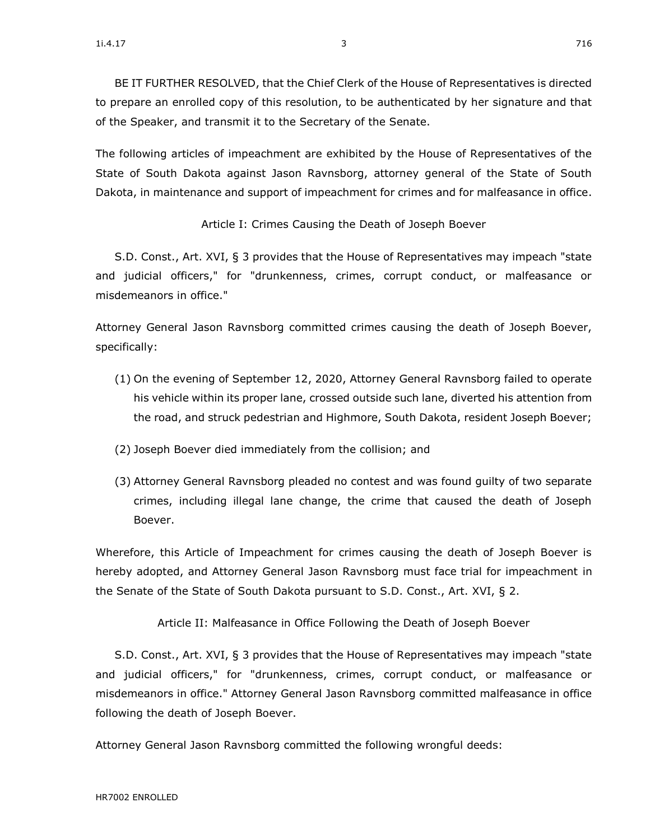BE IT FURTHER RESOLVED, that the Chief Clerk of the House of Representatives is directed to prepare an enrolled copy of this resolution, to be authenticated by her signature and that of the Speaker, and transmit it to the Secretary of the Senate.

The following articles of impeachment are exhibited by the House of Representatives of the State of South Dakota against Jason Ravnsborg, attorney general of the State of South Dakota, in maintenance and support of impeachment for crimes and for malfeasance in office.

Article I: Crimes Causing the Death of Joseph Boever

S.D. Const., Art. XVI, § 3 provides that the House of Representatives may impeach "state and judicial officers," for "drunkenness, crimes, corrupt conduct, or malfeasance or misdemeanors in office."

Attorney General Jason Ravnsborg committed crimes causing the death of Joseph Boever, specifically:

- (1) On the evening of September 12, 2020, Attorney General Ravnsborg failed to operate his vehicle within its proper lane, crossed outside such lane, diverted his attention from the road, and struck pedestrian and Highmore, South Dakota, resident Joseph Boever;
- (2) Joseph Boever died immediately from the collision; and
- (3) Attorney General Ravnsborg pleaded no contest and was found guilty of two separate crimes, including illegal lane change, the crime that caused the death of Joseph Boever.

Wherefore, this Article of Impeachment for crimes causing the death of Joseph Boever is hereby adopted, and Attorney General Jason Ravnsborg must face trial for impeachment in the Senate of the State of South Dakota pursuant to S.D. Const., Art. XVI, § 2.

Article II: Malfeasance in Office Following the Death of Joseph Boever

S.D. Const., Art. XVI, § 3 provides that the House of Representatives may impeach "state and judicial officers," for "drunkenness, crimes, corrupt conduct, or malfeasance or misdemeanors in office." Attorney General Jason Ravnsborg committed malfeasance in office following the death of Joseph Boever.

Attorney General Jason Ravnsborg committed the following wrongful deeds: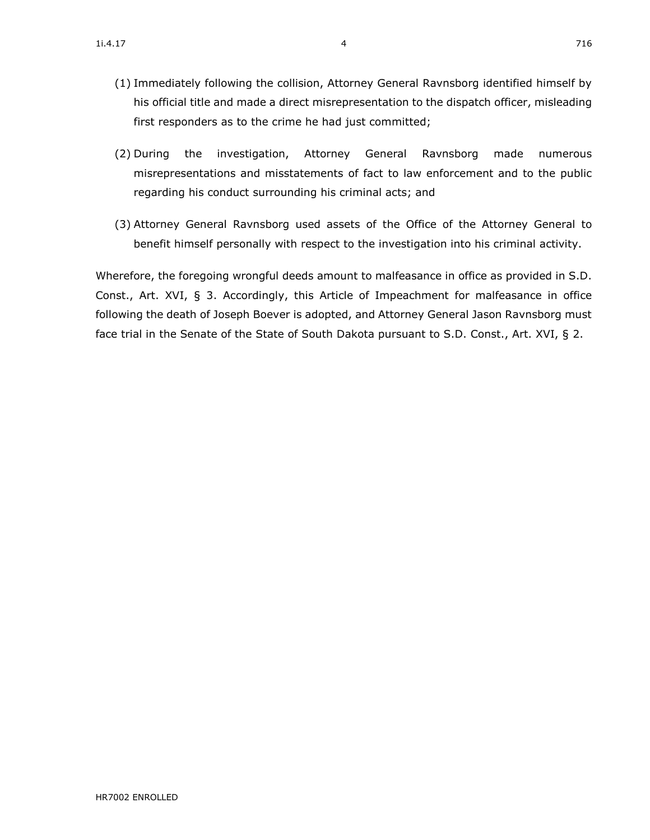- (2) During the investigation, Attorney General Ravnsborg made numerous misrepresentations and misstatements of fact to law enforcement and to the public regarding his conduct surrounding his criminal acts; and
- (3) Attorney General Ravnsborg used assets of the Office of the Attorney General to benefit himself personally with respect to the investigation into his criminal activity.

Wherefore, the foregoing wrongful deeds amount to malfeasance in office as provided in S.D. Const., Art. XVI, § 3. Accordingly, this Article of Impeachment for malfeasance in office following the death of Joseph Boever is adopted, and Attorney General Jason Ravnsborg must face trial in the Senate of the State of South Dakota pursuant to S.D. Const., Art. XVI, § 2.